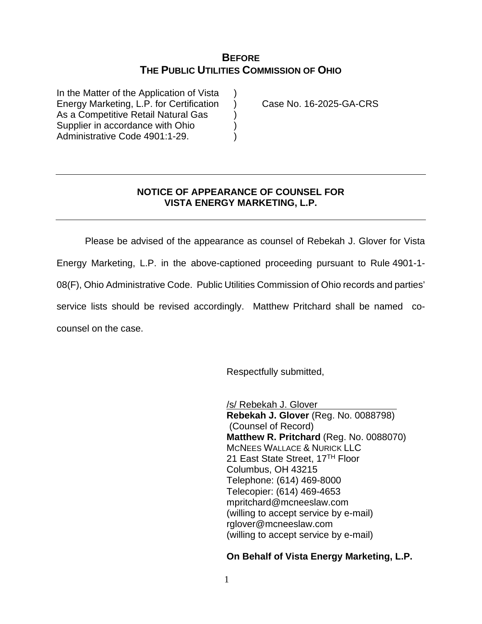## **BEFORE THE PUBLIC UTILITIES COMMISSION OF OHIO**

In the Matter of the Application of Vista Energy Marketing, L.P. for Certification ) Case No. 16-2025-GA-CRS As a Competitive Retail Natural Gas (a) Supplier in accordance with Ohio (a) Administrative Code 4901:1-29.

## **NOTICE OF APPEARANCE OF COUNSEL FOR VISTA ENERGY MARKETING, L.P.**

Please be advised of the appearance as counsel of Rebekah J. Glover for Vista Energy Marketing, L.P. in the above-captioned proceeding pursuant to Rule 4901-1- 08(F), Ohio Administrative Code. Public Utilities Commission of Ohio records and parties' service lists should be revised accordingly. Matthew Pritchard shall be named cocounsel on the case.

Respectfully submitted,

/s/ Rebekah J. Glover **Rebekah J. Glover** (Reg. No. 0088798) (Counsel of Record) **Matthew R. Pritchard** (Reg. No. 0088070) MCNEES WALLACE & NURICK LLC 21 East State Street, 17<sup>TH</sup> Floor Columbus, OH 43215 Telephone: (614) 469-8000 Telecopier: (614) 469-4653 mpritchard@mcneeslaw.com (willing to accept service by e-mail) rglover@mcneeslaw.com (willing to accept service by e-mail)

## **On Behalf of Vista Energy Marketing, L.P.**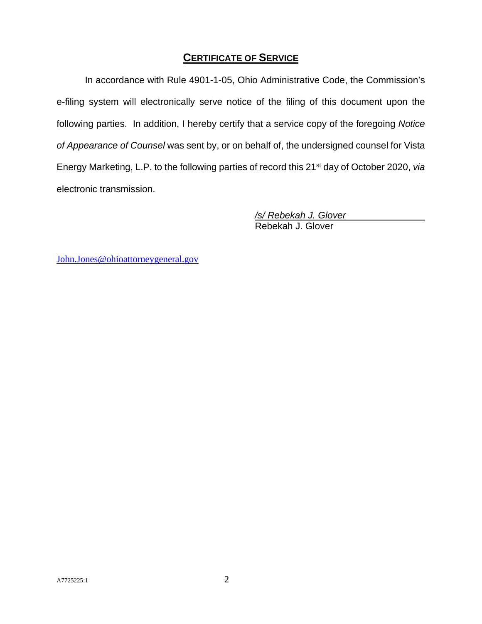## **CERTIFICATE OF SERVICE**

In accordance with Rule 4901-1-05, Ohio Administrative Code, the Commission's e-filing system will electronically serve notice of the filing of this document upon the following parties. In addition, I hereby certify that a service copy of the foregoing *Notice of Appearance of Counsel* was sent by, or on behalf of, the undersigned counsel for Vista Energy Marketing, L.P. to the following parties of record this 21st day of October 2020, *via* electronic transmission.

> */s/ Rebekah J. Glover*  Rebekah J. Glover

[John.Jones@ohioattorneygeneral.gov](mailto:John.Jones@ohioattorneygeneral.gov)